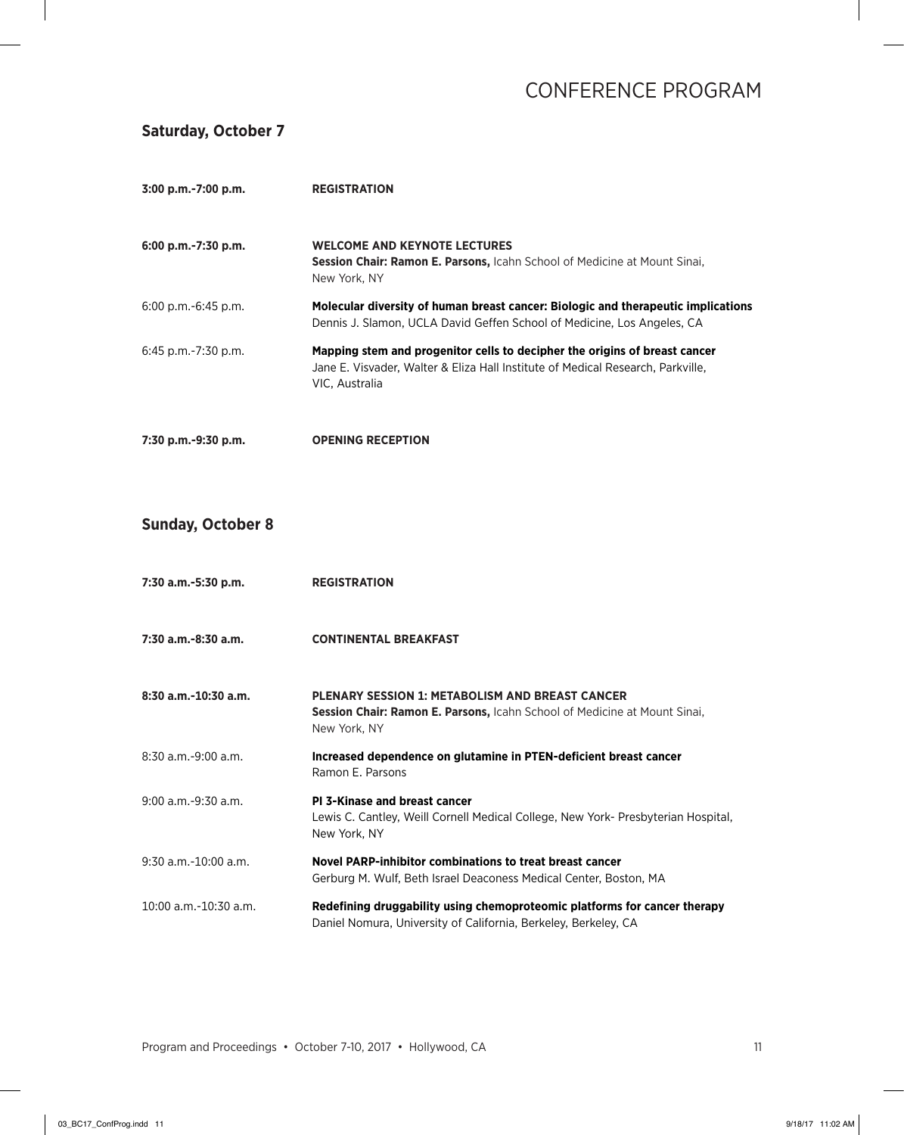### **Saturday, October 7**

| 3:00 p.m.-7:00 p.m.      | <b>REGISTRATION</b>                                                                                                                                                             |
|--------------------------|---------------------------------------------------------------------------------------------------------------------------------------------------------------------------------|
| 6:00 p.m.-7:30 p.m.      | <b>WELCOME AND KEYNOTE LECTURES</b><br><b>Session Chair: Ramon E. Parsons, Icahn School of Medicine at Mount Sinai,</b><br>New York, NY                                         |
| $6:00$ p.m.- $6:45$ p.m. | Molecular diversity of human breast cancer: Biologic and therapeutic implications<br>Dennis J. Slamon, UCLA David Geffen School of Medicine, Los Angeles, CA                    |
| $6:45$ p.m.-7:30 p.m.    | Mapping stem and progenitor cells to decipher the origins of breast cancer<br>Jane E. Visvader, Walter & Eliza Hall Institute of Medical Research, Parkville,<br>VIC, Australia |
| 7:30 p.m.-9:30 p.m.      | <b>OPENING RECEPTION</b>                                                                                                                                                        |

#### **Sunday, October 8**

| 7:30 a.m.-5:30 p.m.        | <b>REGISTRATION</b>                                                                                                                                        |
|----------------------------|------------------------------------------------------------------------------------------------------------------------------------------------------------|
| 7:30 a.m.-8:30 a.m.        | <b>CONTINENTAL BREAKFAST</b>                                                                                                                               |
| $8:30$ a.m. $-10:30$ a.m.  | <b>PLENARY SESSION 1: METABOLISM AND BREAST CANCER</b><br><b>Session Chair: Ramon E. Parsons, Icahn School of Medicine at Mount Sinai,</b><br>New York, NY |
| $8:30$ a.m.-9:00 a.m.      | Increased dependence on glutamine in PTEN-deficient breast cancer<br>Ramon E. Parsons                                                                      |
| 9:00 a.m.-9:30 a.m.        | <b>PI 3-Kinase and breast cancer</b><br>Lewis C. Cantley, Weill Cornell Medical College, New York- Presbyterian Hospital,<br>New York, NY                  |
| $9:30$ a.m. $-10:00$ a.m.  | Novel PARP-inhibitor combinations to treat breast cancer<br>Gerburg M. Wulf, Beth Israel Deaconess Medical Center, Boston, MA                              |
| $10:00$ a.m.- $10:30$ a.m. | Redefining druggability using chemoproteomic platforms for cancer therapy<br>Daniel Nomura, University of California, Berkeley, Berkeley, CA               |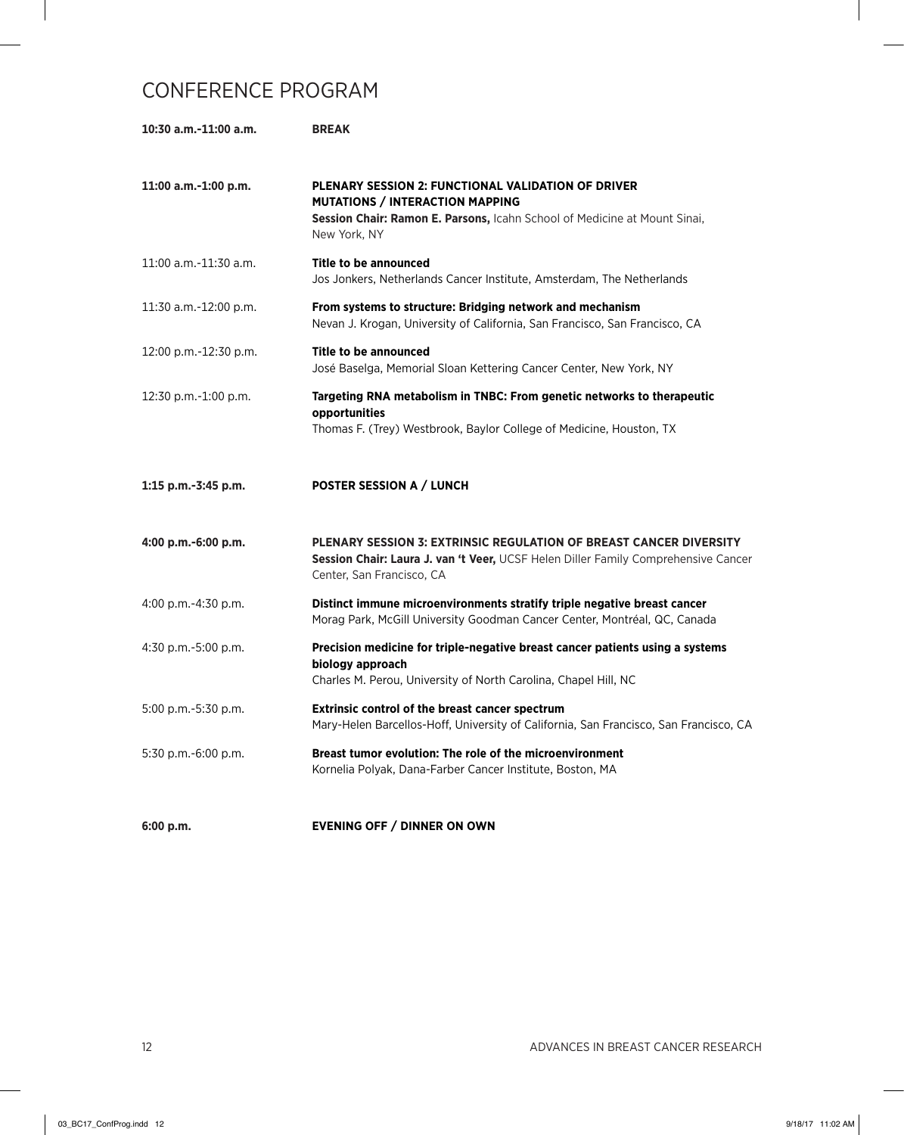| 10:30 a.m.-11:00 a.m.      | <b>BREAK</b>                                                                                                                                                                                     |
|----------------------------|--------------------------------------------------------------------------------------------------------------------------------------------------------------------------------------------------|
| 11:00 a.m.-1:00 p.m.       | <b>PLENARY SESSION 2: FUNCTIONAL VALIDATION OF DRIVER</b><br><b>MUTATIONS / INTERACTION MAPPING</b><br>Session Chair: Ramon E. Parsons, Icahn School of Medicine at Mount Sinai,<br>New York, NY |
| $11:00$ a.m. $-11:30$ a.m. | Title to be announced<br>Jos Jonkers, Netherlands Cancer Institute, Amsterdam, The Netherlands                                                                                                   |
| 11:30 a.m.-12:00 p.m.      | From systems to structure: Bridging network and mechanism<br>Nevan J. Krogan, University of California, San Francisco, San Francisco, CA                                                         |
| 12:00 p.m.-12:30 p.m.      | <b>Title to be announced</b><br>José Baselga, Memorial Sloan Kettering Cancer Center, New York, NY                                                                                               |
| 12:30 p.m.-1:00 p.m.       | Targeting RNA metabolism in TNBC: From genetic networks to therapeutic<br>opportunities<br>Thomas F. (Trey) Westbrook, Baylor College of Medicine, Houston, TX                                   |
| 1:15 p.m.-3:45 p.m.        | <b>POSTER SESSION A / LUNCH</b>                                                                                                                                                                  |
|                            |                                                                                                                                                                                                  |
| 4:00 p.m.-6:00 p.m.        | <b>PLENARY SESSION 3: EXTRINSIC REGULATION OF BREAST CANCER DIVERSITY</b><br>Session Chair: Laura J. van 't Veer, UCSF Helen Diller Family Comprehensive Cancer<br>Center, San Francisco, CA     |
| 4:00 p.m.-4:30 p.m.        | Distinct immune microenvironments stratify triple negative breast cancer<br>Morag Park, McGill University Goodman Cancer Center, Montréal, QC, Canada                                            |
| 4:30 p.m.-5:00 p.m.        | Precision medicine for triple-negative breast cancer patients using a systems<br>biology approach<br>Charles M. Perou, University of North Carolina, Chapel Hill, NC                             |
| 5:00 p.m.-5:30 p.m.        | <b>Extrinsic control of the breast cancer spectrum</b><br>Mary-Helen Barcellos-Hoff, University of California, San Francisco, San Francisco, CA                                                  |
| 5:30 p.m.-6:00 p.m.        | Breast tumor evolution: The role of the microenvironment<br>Kornelia Polyak, Dana-Farber Cancer Institute, Boston, MA                                                                            |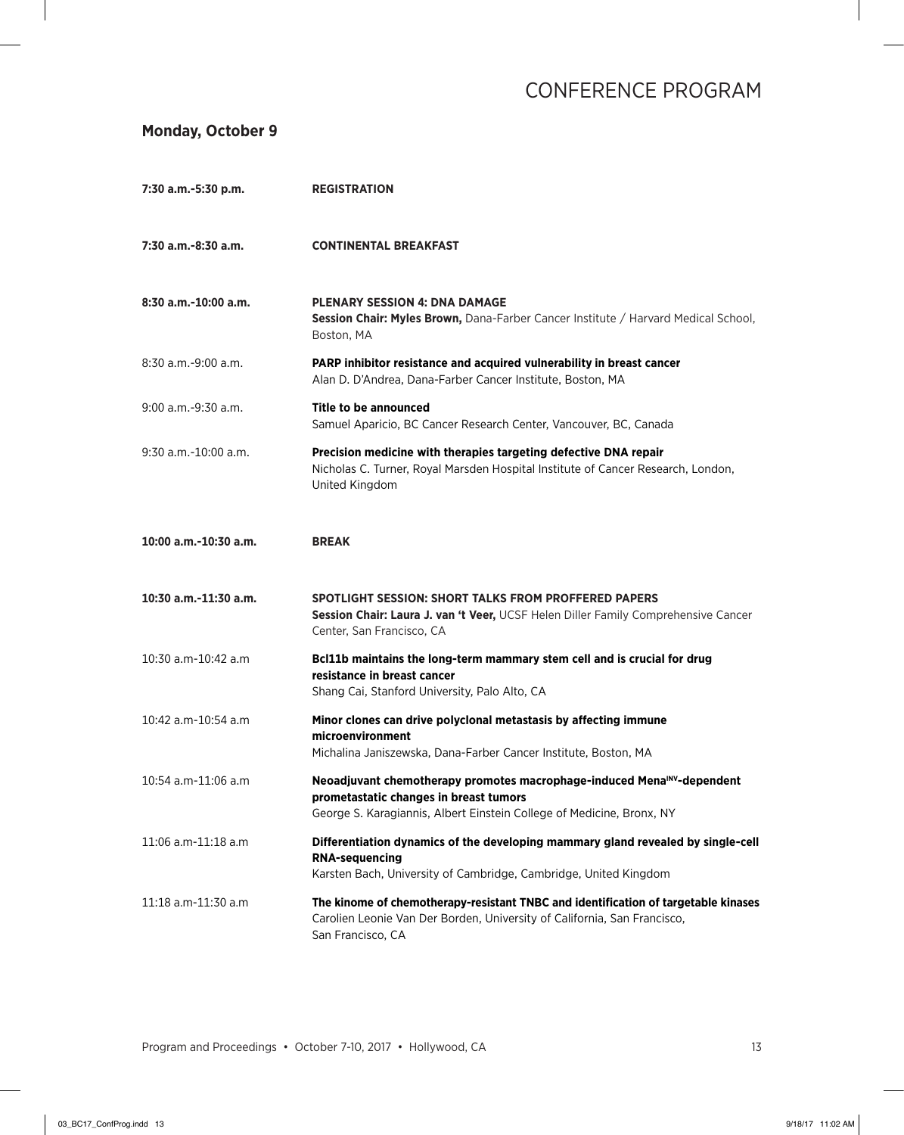### **Monday, October 9**

| 7:30 a.m.-5:30 p.m.    | <b>REGISTRATION</b>                                                                                                                                                                                    |
|------------------------|--------------------------------------------------------------------------------------------------------------------------------------------------------------------------------------------------------|
| 7:30 a.m.-8:30 a.m.    | <b>CONTINENTAL BREAKFAST</b>                                                                                                                                                                           |
| 8:30 a.m.-10:00 a.m.   | <b>PLENARY SESSION 4: DNA DAMAGE</b><br>Session Chair: Myles Brown, Dana-Farber Cancer Institute / Harvard Medical School,<br>Boston, MA                                                               |
| $8:30$ a.m.-9:00 a.m.  | PARP inhibitor resistance and acquired vulnerability in breast cancer<br>Alan D. D'Andrea, Dana-Farber Cancer Institute, Boston, MA                                                                    |
| 9:00 a.m.-9:30 a.m.    | Title to be announced<br>Samuel Aparicio, BC Cancer Research Center, Vancouver, BC, Canada                                                                                                             |
| $9:30$ a.m.-10:00 a.m. | Precision medicine with therapies targeting defective DNA repair<br>Nicholas C. Turner, Royal Marsden Hospital Institute of Cancer Research, London,<br>United Kingdom                                 |
| 10:00 a.m.-10:30 a.m.  | <b>BREAK</b>                                                                                                                                                                                           |
| 10:30 a.m.-11:30 a.m.  | <b>SPOTLIGHT SESSION: SHORT TALKS FROM PROFFERED PAPERS</b><br>Session Chair: Laura J. van 't Veer, UCSF Helen Diller Family Comprehensive Cancer<br>Center, San Francisco, CA                         |
| 10:30 a.m-10:42 a.m    | Bcl11b maintains the long-term mammary stem cell and is crucial for drug<br>resistance in breast cancer<br>Shang Cai, Stanford University, Palo Alto, CA                                               |
| 10:42 a.m-10:54 a.m    | Minor clones can drive polyclonal metastasis by affecting immune<br>microenvironment<br>Michalina Janiszewska, Dana-Farber Cancer Institute, Boston, MA                                                |
| 10:54 a.m-11:06 a.m    | Neoadjuvant chemotherapy promotes macrophage-induced Mena <sup>INV</sup> -dependent<br>prometastatic changes in breast tumors<br>George S. Karagiannis, Albert Einstein College of Medicine, Bronx, NY |
| 11:06 a.m-11:18 a.m    | Differentiation dynamics of the developing mammary gland revealed by single-cell<br><b>RNA-sequencing</b><br>Karsten Bach, University of Cambridge, Cambridge, United Kingdom                          |
| 11:18 a.m-11:30 a.m    | The kinome of chemotherapy-resistant TNBC and identification of targetable kinases<br>Carolien Leonie Van Der Borden, University of California, San Francisco,<br>San Francisco, CA                    |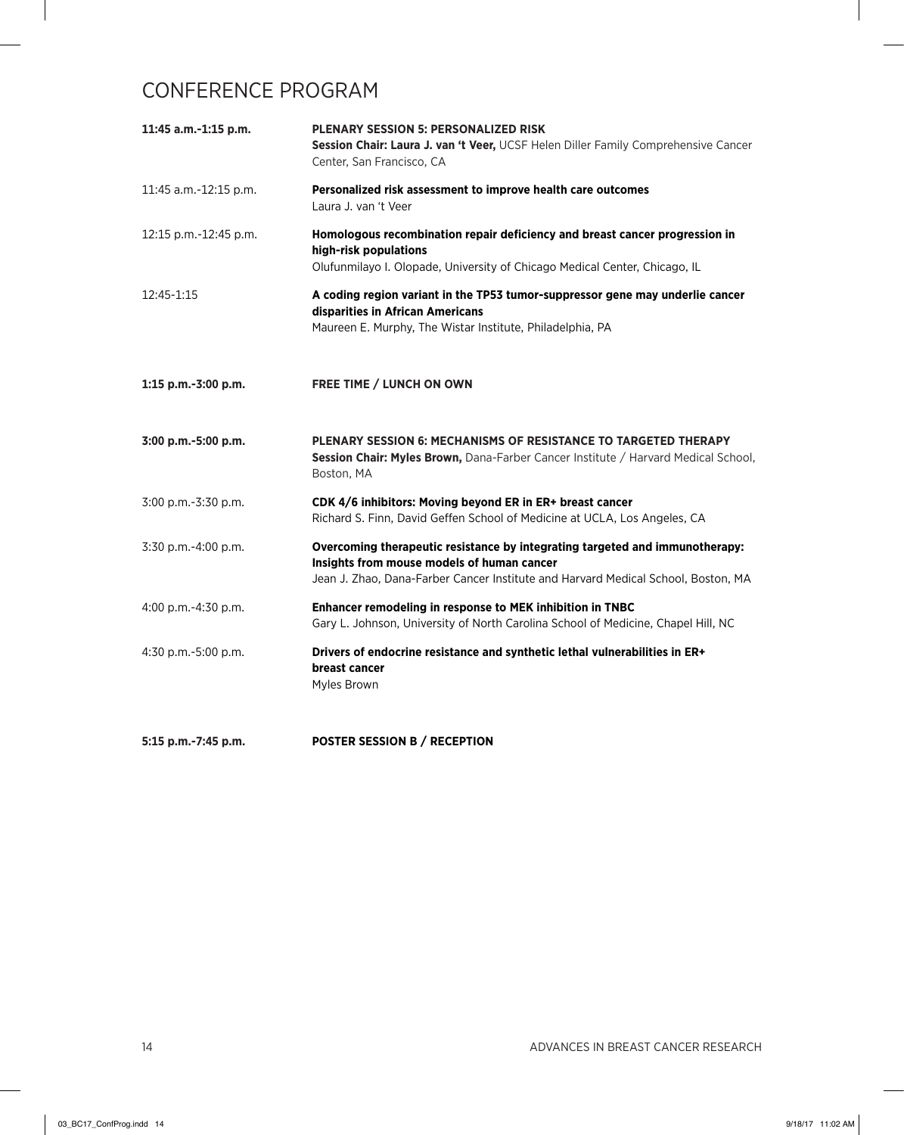| 11:45 a.m.-1:15 p.m.  | <b>PLENARY SESSION 5: PERSONALIZED RISK</b><br>Session Chair: Laura J. van 't Veer, UCSF Helen Diller Family Comprehensive Cancer<br>Center, San Francisco, CA                                                  |
|-----------------------|-----------------------------------------------------------------------------------------------------------------------------------------------------------------------------------------------------------------|
| 11:45 a.m.-12:15 p.m. | Personalized risk assessment to improve health care outcomes<br>Laura J. van 't Veer                                                                                                                            |
| 12:15 p.m.-12:45 p.m. | Homologous recombination repair deficiency and breast cancer progression in<br>high-risk populations<br>Olufunmilayo I. Olopade, University of Chicago Medical Center, Chicago, IL                              |
| 12:45-1:15            | A coding region variant in the TP53 tumor-suppressor gene may underlie cancer<br>disparities in African Americans<br>Maureen E. Murphy, The Wistar Institute, Philadelphia, PA                                  |
| 1:15 p.m.-3:00 p.m.   | <b>FREE TIME / LUNCH ON OWN</b>                                                                                                                                                                                 |
| 3:00 p.m.-5:00 p.m.   | <b>PLENARY SESSION 6: MECHANISMS OF RESISTANCE TO TARGETED THERAPY</b><br>Session Chair: Myles Brown, Dana-Farber Cancer Institute / Harvard Medical School,<br>Boston, MA                                      |
| 3:00 p.m.-3:30 p.m.   | CDK 4/6 inhibitors: Moving beyond ER in ER+ breast cancer<br>Richard S. Finn, David Geffen School of Medicine at UCLA, Los Angeles, CA                                                                          |
| $3:30$ p.m.-4:00 p.m. | Overcoming therapeutic resistance by integrating targeted and immunotherapy:<br>Insights from mouse models of human cancer<br>Jean J. Zhao, Dana-Farber Cancer Institute and Harvard Medical School, Boston, MA |
| 4:00 p.m.-4:30 p.m.   | Enhancer remodeling in response to MEK inhibition in TNBC<br>Gary L. Johnson, University of North Carolina School of Medicine, Chapel Hill, NC                                                                  |
| 4:30 p.m.-5:00 p.m.   | Drivers of endocrine resistance and synthetic lethal vulnerabilities in ER+<br>breast cancer<br>Myles Brown                                                                                                     |

**5:15 p.m.-7:45 p.m. POSTER SESSION B / RECEPTION**